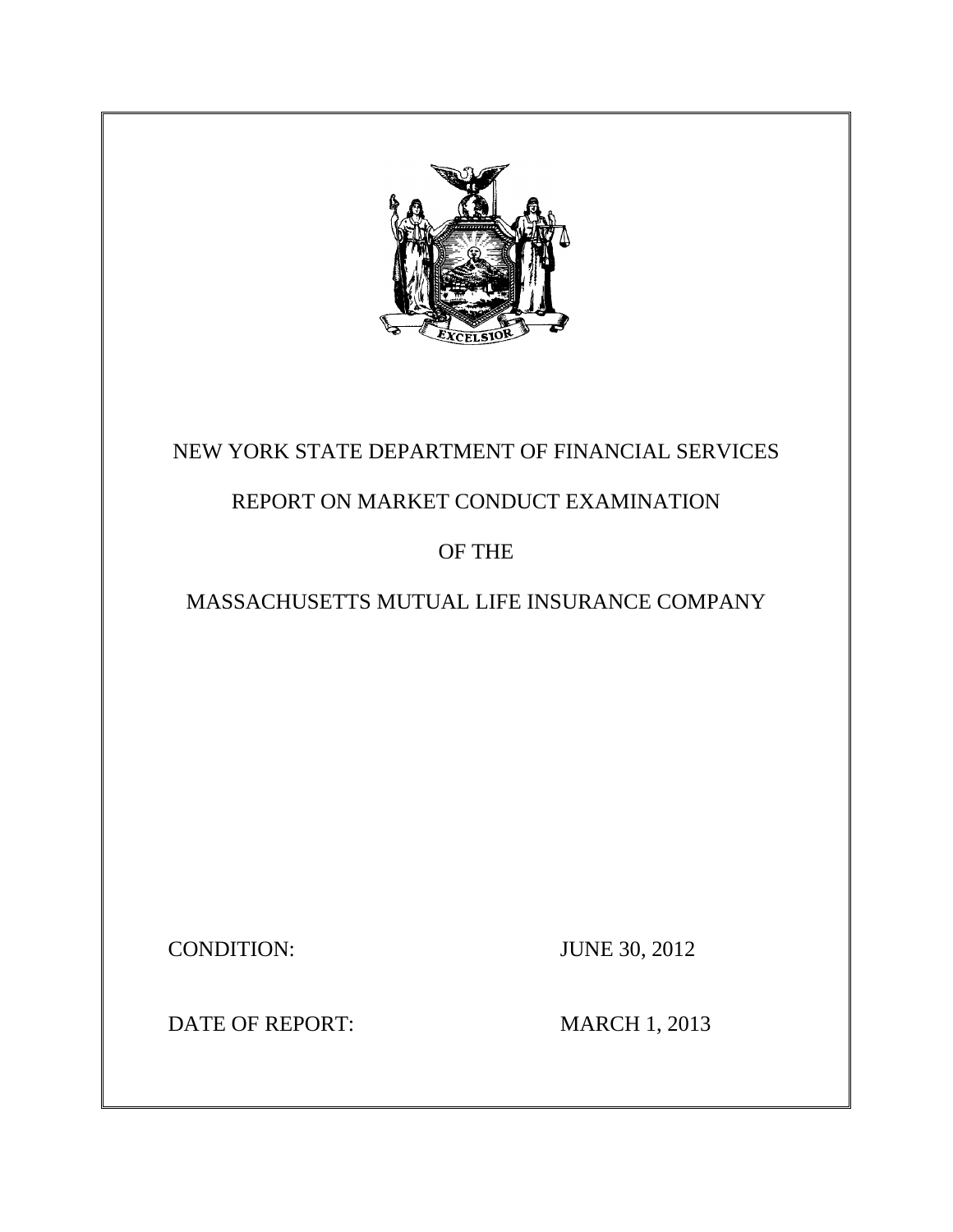

# NEW YORK STATE DEPARTMENT OF FINANCIAL SERVICES

# REPORT ON MARKET CONDUCT EXAMINATION

# OF THE

# MASSACHUSETTS MUTUAL LIFE INSURANCE COMPANY

**CONDITION:** 

JUNE 30, 2012

DATE OF REPORT: MARCH 1, 2013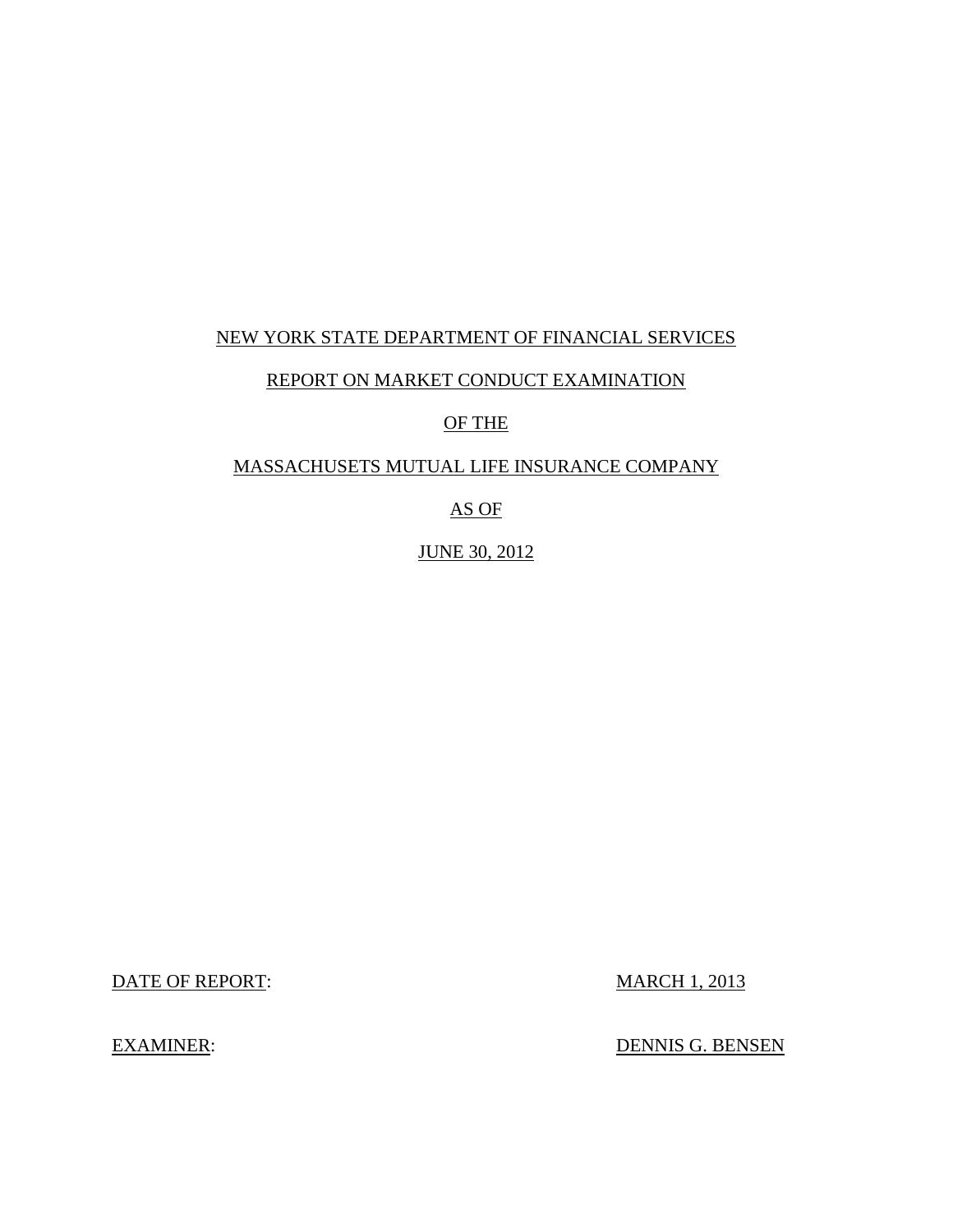## NEW YORK STATE DEPARTMENT OF FINANCIAL SERVICES

## REPORT ON MARKET CONDUCT EXAMINATION

# OF THE

## MASSACHUSETS MUTUAL LIFE INSURANCE COMPANY

AS OF

JUNE 30, 2012

DATE OF REPORT: MARCH 1, 2013

**EXAMINER:** 

DENNIS G. BENSEN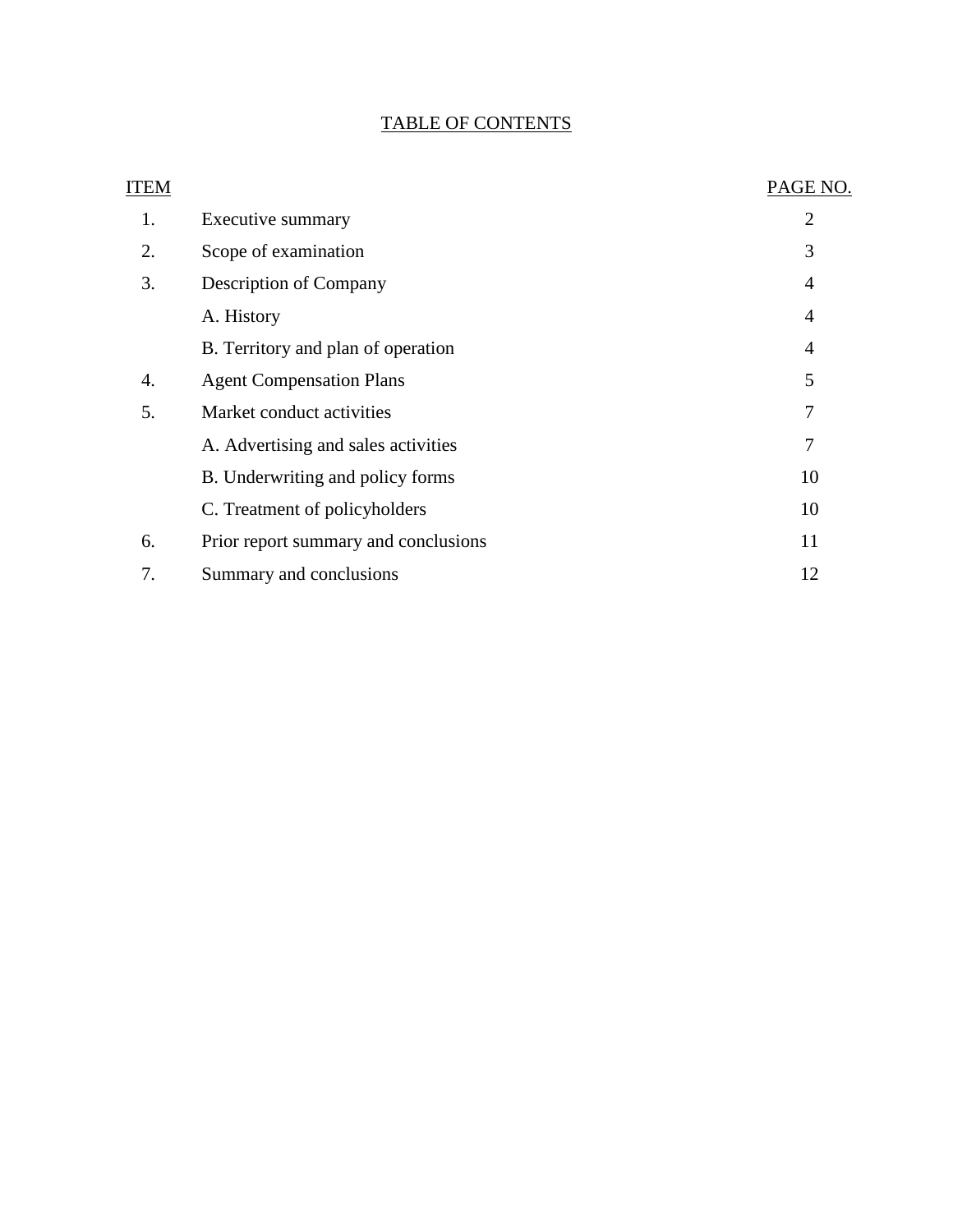# TABLE OF CONTENTS

|                                      | PAGE NO.       |
|--------------------------------------|----------------|
| Executive summary                    | $\overline{2}$ |
| Scope of examination                 | 3              |
| <b>Description of Company</b>        | 4              |
| A. History                           | 4              |
| B. Territory and plan of operation   | 4              |
| <b>Agent Compensation Plans</b>      | 5              |
| Market conduct activities            | $\overline{7}$ |
| A. Advertising and sales activities  | 7              |
| B. Underwriting and policy forms     | 10             |
| C. Treatment of policyholders        | 10             |
| Prior report summary and conclusions | 11             |
| Summary and conclusions              | 12             |
|                                      |                |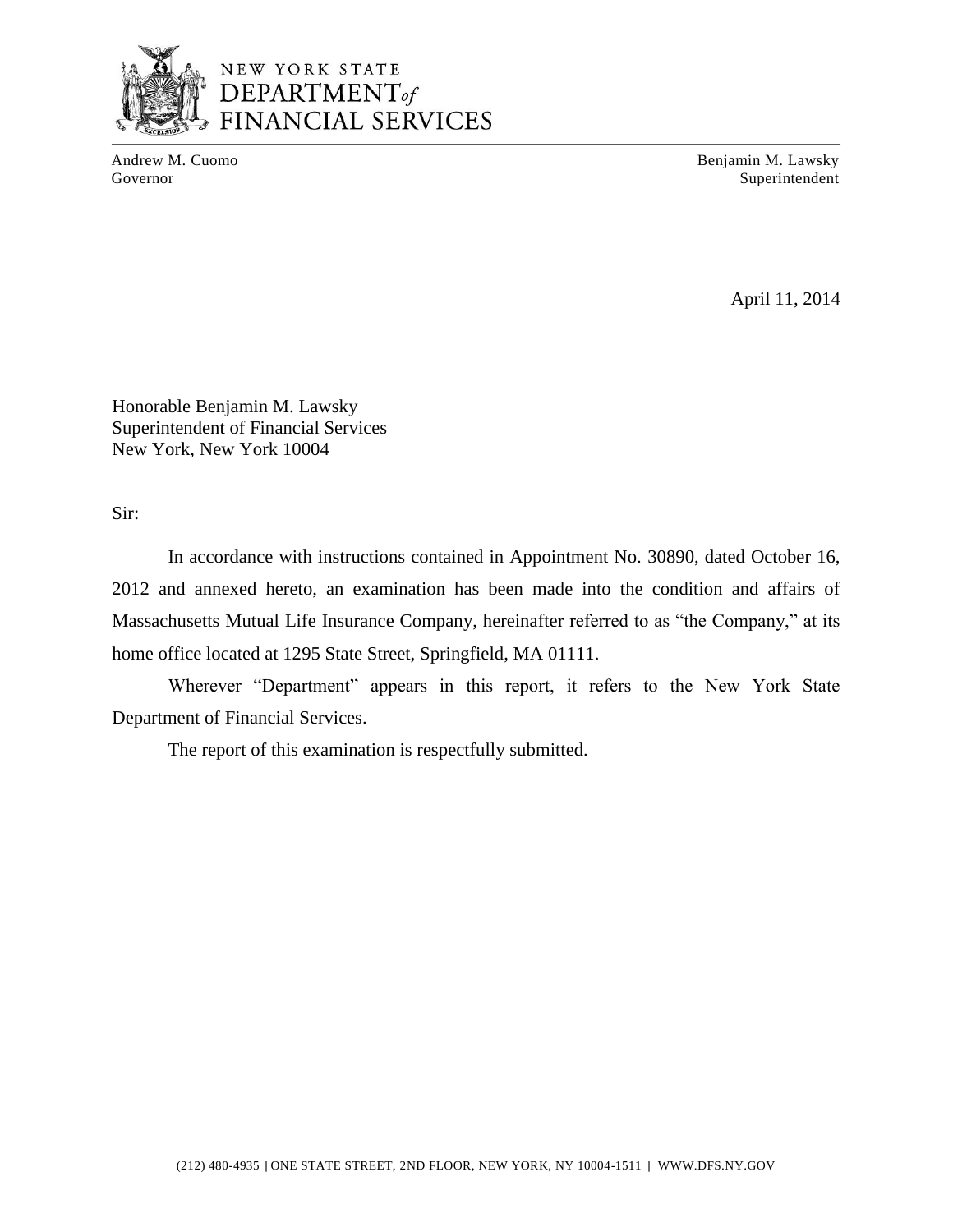

# NEW YORK STATE DEPARTMENT<sub>of</sub> FINANCIAL SERVICES

Andrew M. Cuomo **Benjamin M. Lawsky** Governor Superintendent Superintendent Superintendent Superintendent Superintendent Superintendent Superintendent Superintendent Superintendent Superintendent Superintendent Superintendent Superintendent Superintendent Sup

April 11, 2014

Honorable Benjamin M. Lawsky Superintendent of Financial Services New York, New York 10004

Sir:

 Massachusetts Mutual Life Insurance Company, hereinafter referred to as "the Company," at its In accordance with instructions contained in Appointment No. 30890, dated October 16, 2012 and annexed hereto, an examination has been made into the condition and affairs of home office located at 1295 State Street, Springfield, MA 01111.

Wherever "Department" appears in this report, it refers to the New York State Department of Financial Services.

The report of this examination is respectfully submitted.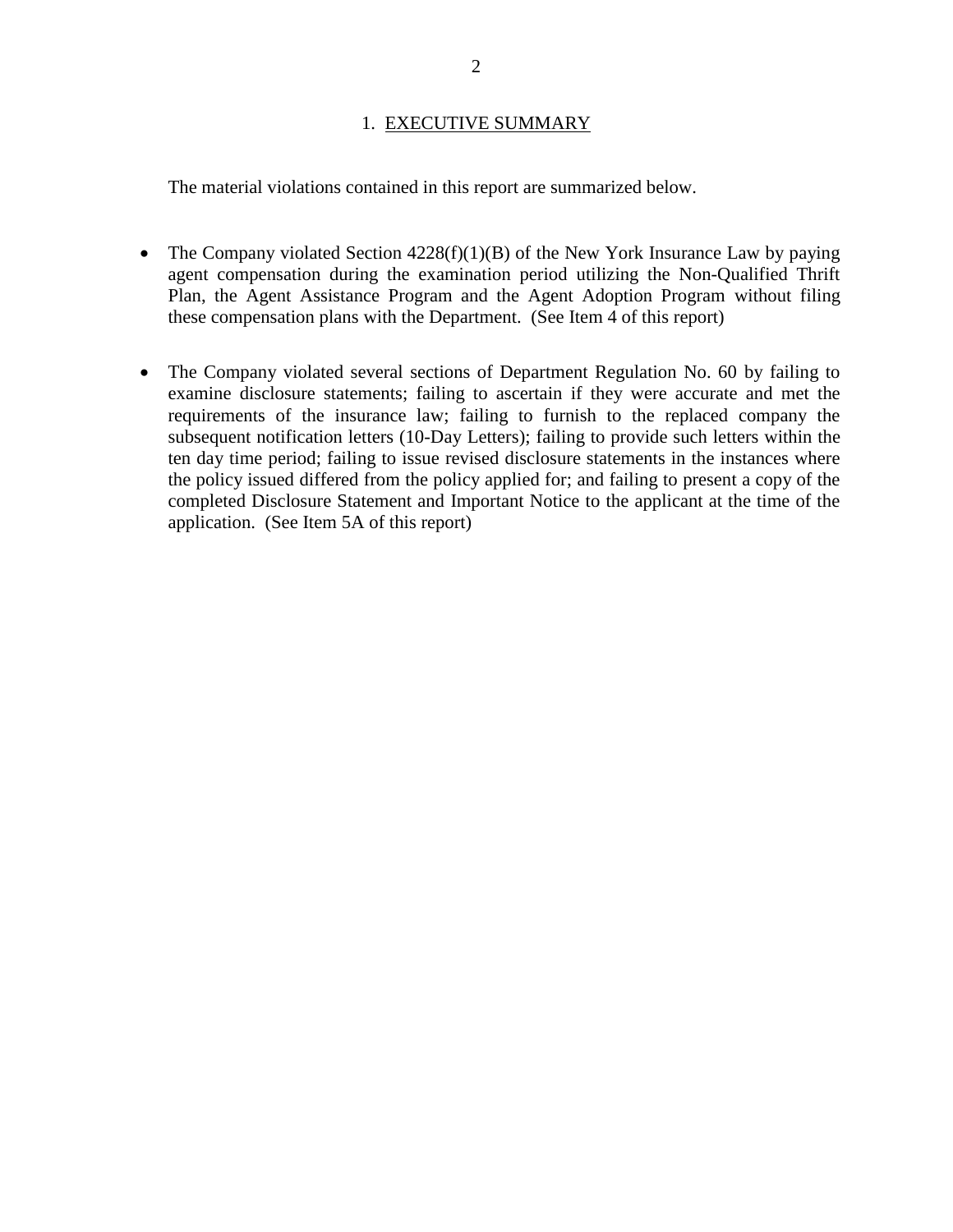### 1. EXECUTIVE SUMMARY

<span id="page-4-0"></span>The material violations contained in this report are summarized below.

- The Company violated Section  $4228(f)(1)(B)$  of the New York Insurance Law by paying Plan, the Agent Assistance Program and the Agent Adoption Program without filing these compensation plans with the Department. (See Item 4 of this report) agent compensation during the examination period utilizing the Non-Qualified Thrift
- The Company violated several sections of Department Regulation No. 60 by failing to examine disclosure statements; failing to ascertain if they were accurate and met the requirements of the insurance law; failing to furnish to the replaced company the subsequent notification letters (10-Day Letters); failing to provide such letters within the ten day time period; failing to issue revised disclosure statements in the instances where the policy issued differed from the policy applied for; and failing to present a copy of the completed Disclosure Statement and Important Notice to the applicant at the time of the application. (See Item 5A of this report)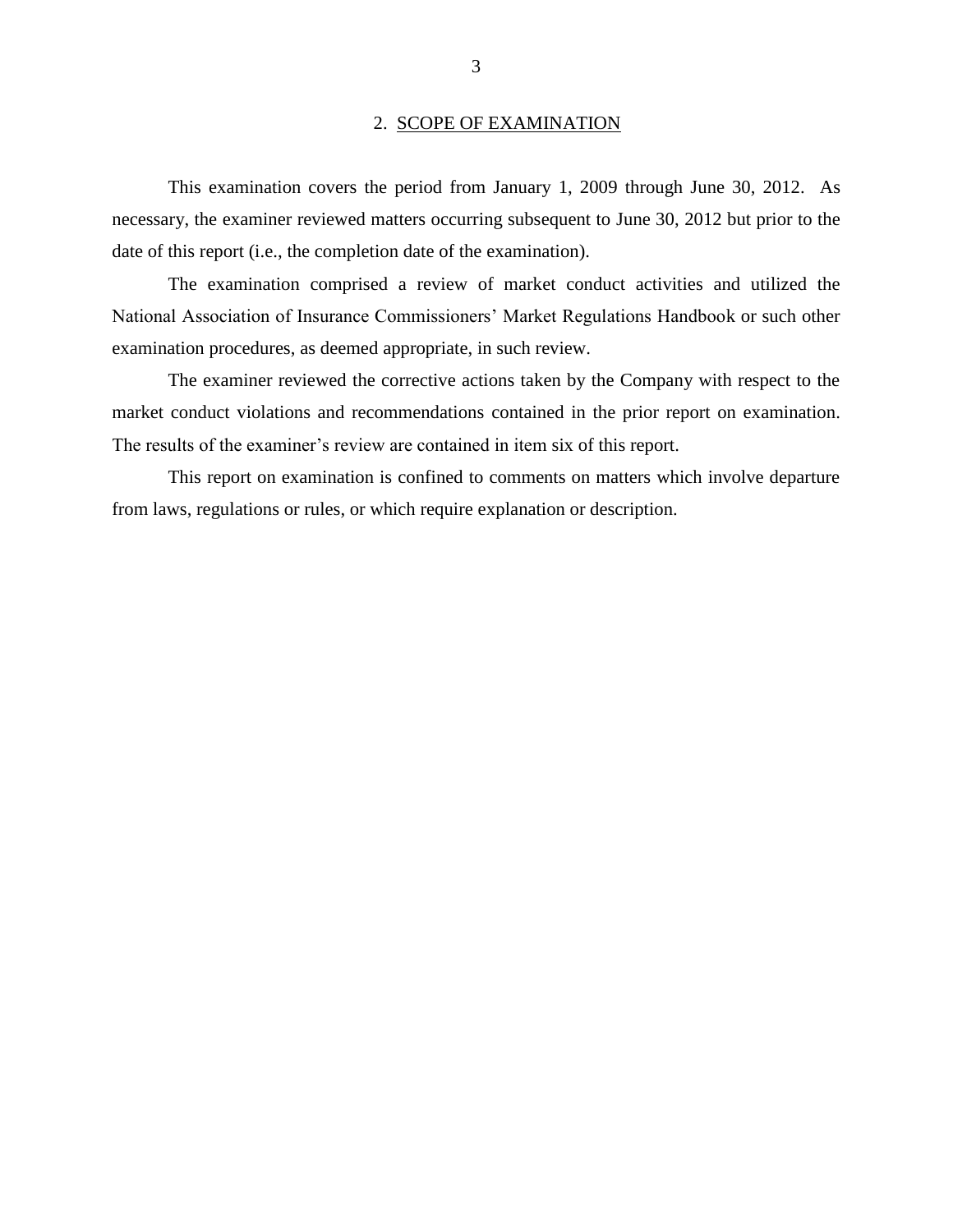#### 2. SCOPE OF EXAMINATION

<span id="page-5-0"></span> This examination covers the period from January 1, 2009 through June 30, 2012. As necessary, the examiner reviewed matters occurring subsequent to June 30, 2012 but prior to the date of this report (i.e., the completion date of the examination).

 National Association of Insurance Commissioners' Market Regulations Handbook or such other The examination comprised a review of market conduct activities and utilized the examination procedures, as deemed appropriate, in such review.

 market conduct violations and recommendations contained in the prior report on examination. The results of the examiner's review are contained in item six of this report. The examiner reviewed the corrective actions taken by the Company with respect to the

This report on examination is confined to comments on matters which involve departure from laws, regulations or rules, or which require explanation or description.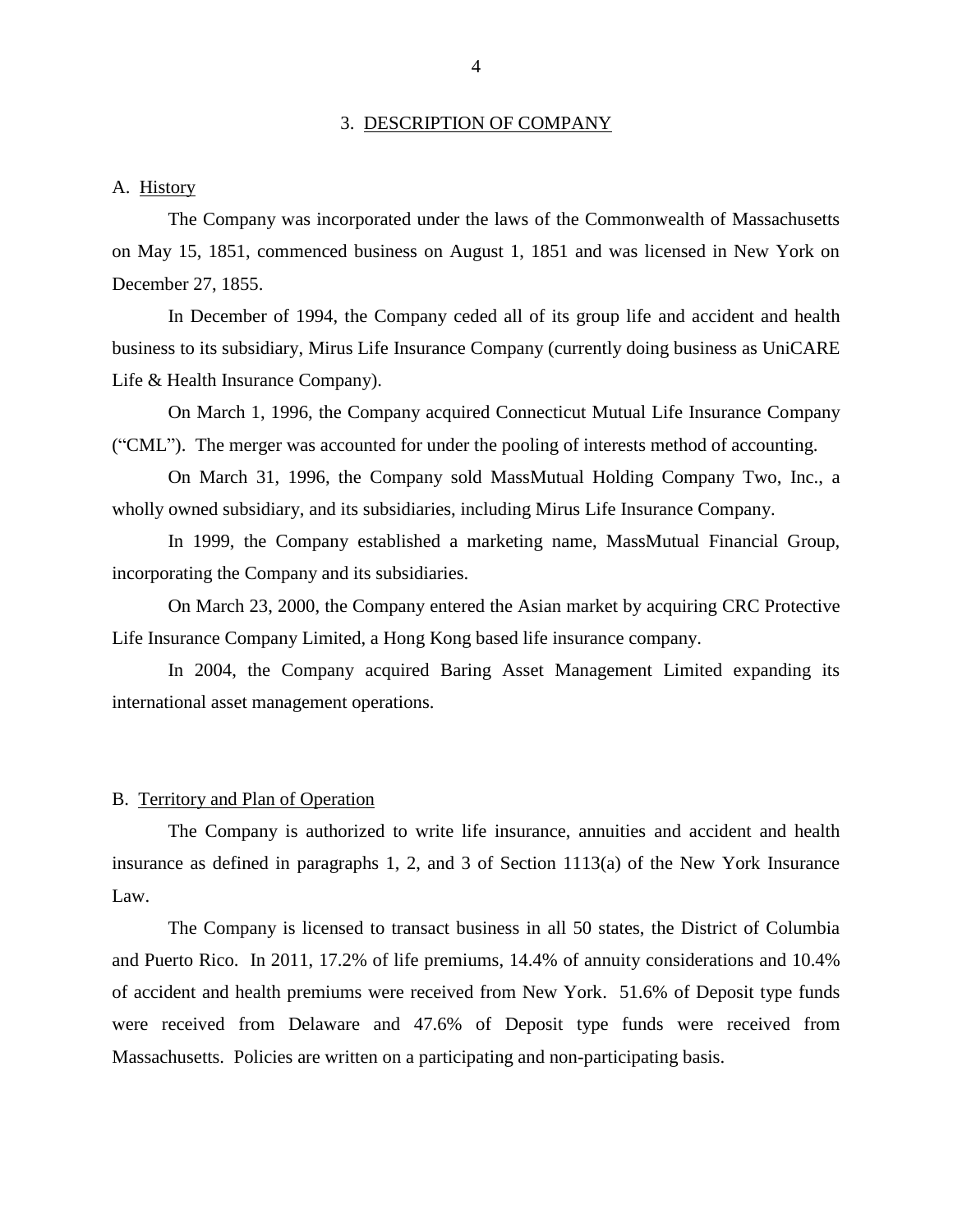#### 3. DESCRIPTION OF COMPANY

#### <span id="page-6-0"></span>A. History

 on May 15, 1851, commenced business on August 1, 1851 and was licensed in New York on The Company was incorporated under the laws of the Commonwealth of Massachusetts December 27, 1855.

 business to its subsidiary, Mirus Life Insurance Company (currently doing business as UniCARE Life & Health Insurance Company). In December of 1994, the Company ceded all of its group life and accident and health

 On March 1, 1996, the Company acquired Connecticut Mutual Life Insurance Company ("CML"). The merger was accounted for under the pooling of interests method of accounting.

 On March 31, 1996, the Company sold MassMutual Holding Company Two, Inc., a wholly owned subsidiary, and its subsidiaries, including Mirus Life Insurance Company.

In 1999, the Company established a marketing name, MassMutual Financial Group, incorporating the Company and its subsidiaries.

 On March 23, 2000, the Company entered the Asian market by acquiring CRC Protective Life Insurance Company Limited, a Hong Kong based life insurance company.

 In 2004, the Company acquired Baring Asset Management Limited expanding its international asset management operations.

#### B. Territory and Plan of Operation

 insurance as defined in paragraphs 1, 2, and 3 of Section 1113(a) of the New York Insurance The Company is authorized to write life insurance, annuities and accident and health Law.

 and Puerto Rico. In 2011, 17.2% of life premiums, 14.4% of annuity considerations and 10.4% of accident and health premiums were received from New York. 51.6% of Deposit type funds were received from Delaware and 47.6% of Deposit type funds were received from The Company is licensed to transact business in all 50 states, the District of Columbia Massachusetts. Policies are written on a participating and non-participating basis.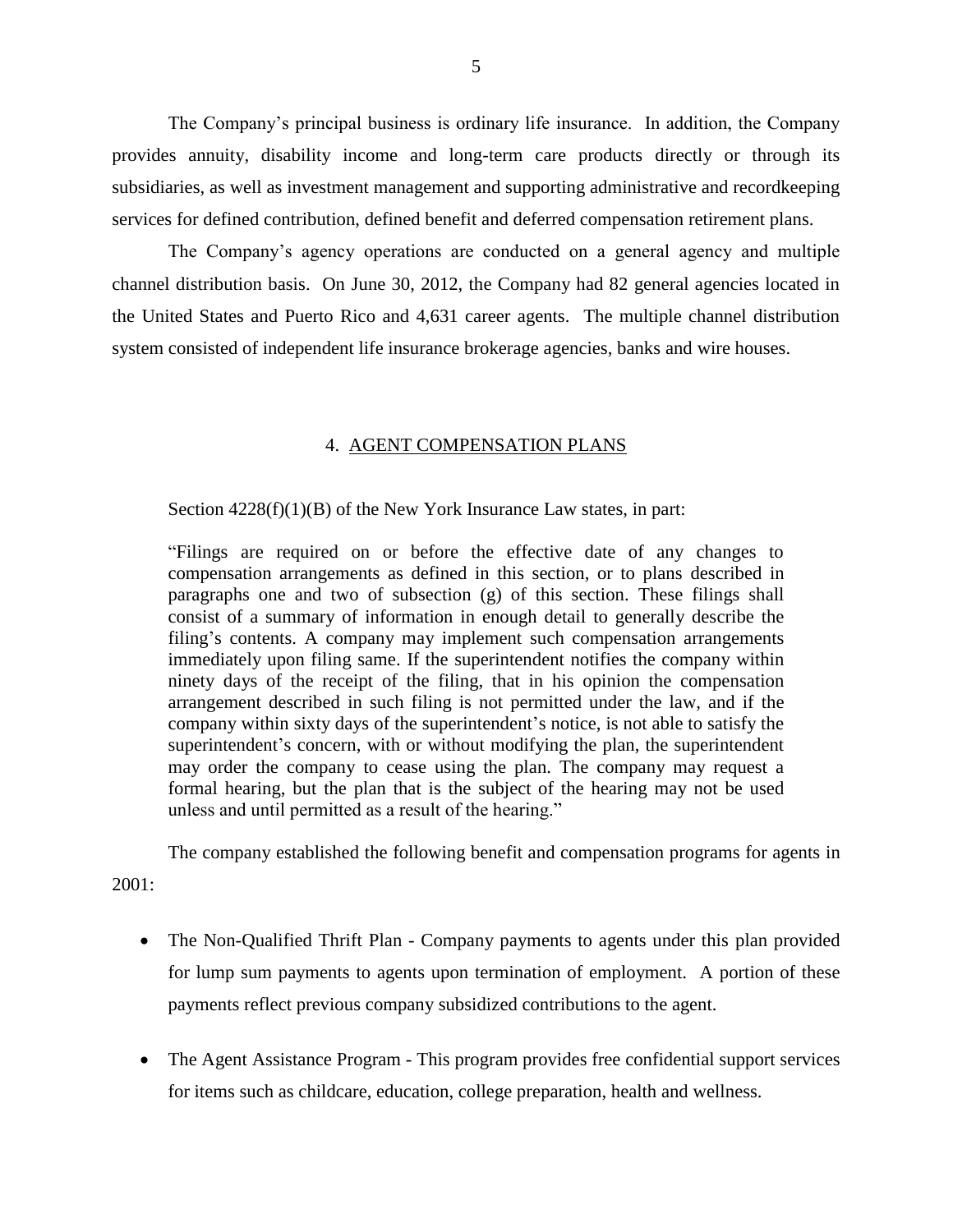<span id="page-7-0"></span> The Company's principal business is ordinary life insurance. In addition, the Company provides annuity, disability income and long-term care products directly or through its subsidiaries, as well as investment management and supporting administrative and recordkeeping services for defined contribution, defined benefit and deferred compensation retirement plans.

 channel distribution basis. On June 30, 2012, the Company had 82 general agencies located in the United States and Puerto Rico and 4,631 career agents. The multiple channel distribution The Company's agency operations are conducted on a general agency and multiple system consisted of independent life insurance brokerage agencies, banks and wire houses.

#### 4. AGENT COMPENSATION PLANS

Section  $4228(f)(1)(B)$  of the New York Insurance Law states, in part:

 "Filings are required on or before the effective date of any changes to compensation arrangements as defined in this section, or to plans described in paragraphs one and two of subsection (g) of this section. These filings shall consist of a summary of information in enough detail to generally describe the filing's contents. A company may implement such compensation arrangements immediately upon filing same. If the superintendent notifies the company within ninety days of the receipt of the filing, that in his opinion the compensation company within sixty days of the superintendent's notice, is not able to satisfy the may order the company to cease using the plan. The company may request a formal hearing, but the plan that is the subject of the hearing may not be used arrangement described in such filing is not permitted under the law, and if the superintendent's concern, with or without modifying the plan, the superintendent unless and until permitted as a result of the hearing."

The company established the following benefit and compensation programs for agents in

2001:

- The Non-Qualified Thrift Plan Company payments to agents under this plan provided for lump sum payments to agents upon termination of employment. A portion of these payments reflect previous company subsidized contributions to the agent.
- The Agent Assistance Program This program provides free confidential support services for items such as childcare, education, college preparation, health and wellness.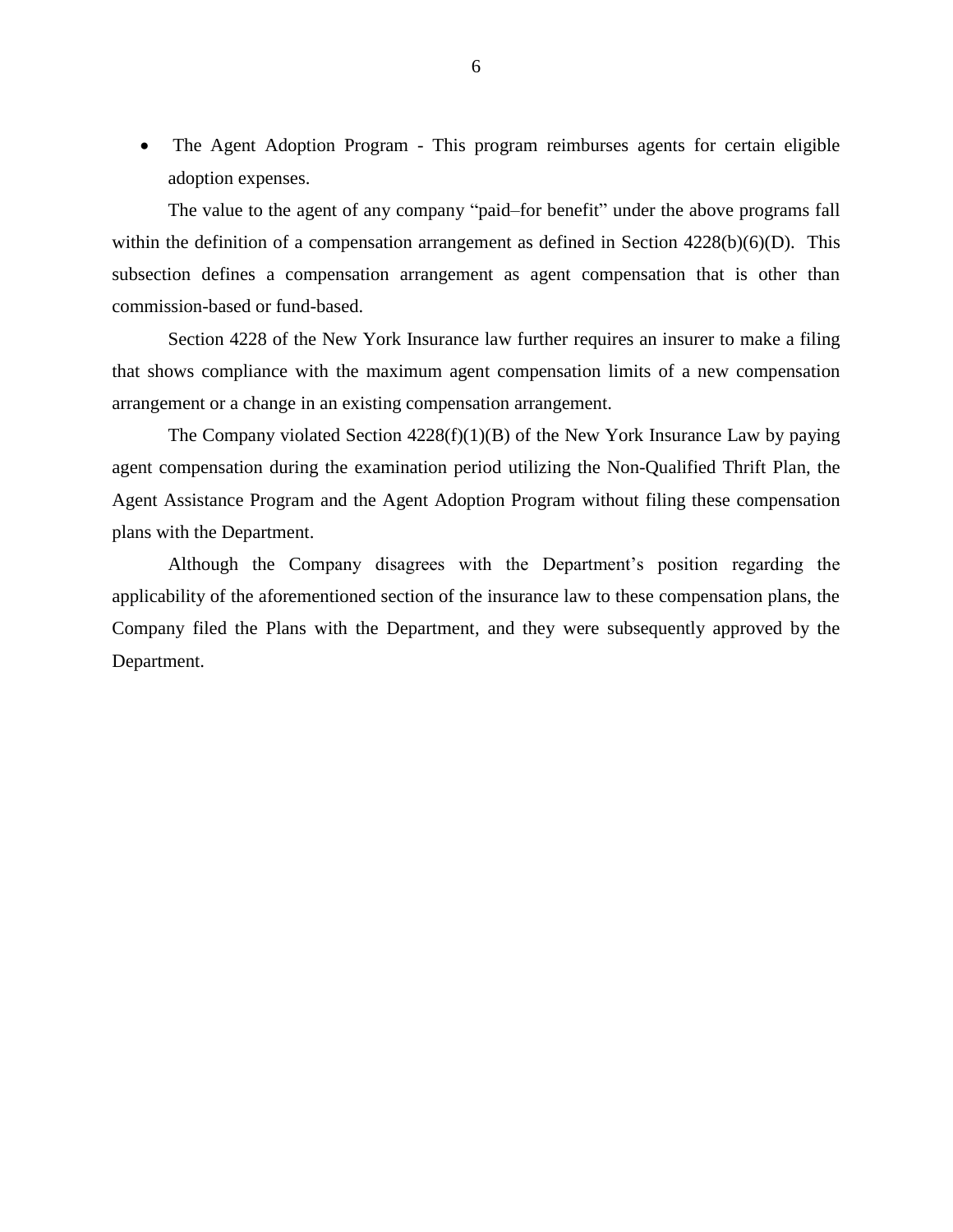The Agent Adoption Program - This program reimburses agents for certain eligible adoption expenses.

within the definition of a compensation arrangement as defined in Section 4228(b)(6)(D). This subsection defines a compensation arrangement as agent compensation that is other than The value to the agent of any company "paid–for benefit" under the above programs fall commission-based or fund-based.

 Section 4228 of the New York Insurance law further requires an insurer to make a filing that shows compliance with the maximum agent compensation limits of a new compensation arrangement or a change in an existing compensation arrangement.

 The Company violated Section 4228(f)(1)(B) of the New York Insurance Law by paying agent compensation during the examination period utilizing the Non-Qualified Thrift Plan, the Agent Assistance Program and the Agent Adoption Program without filing these compensation plans with the Department.

 Although the Company disagrees with the Department's position regarding the applicability of the aforementioned section of the insurance law to these compensation plans, the Company filed the Plans with the Department, and they were subsequently approved by the Department.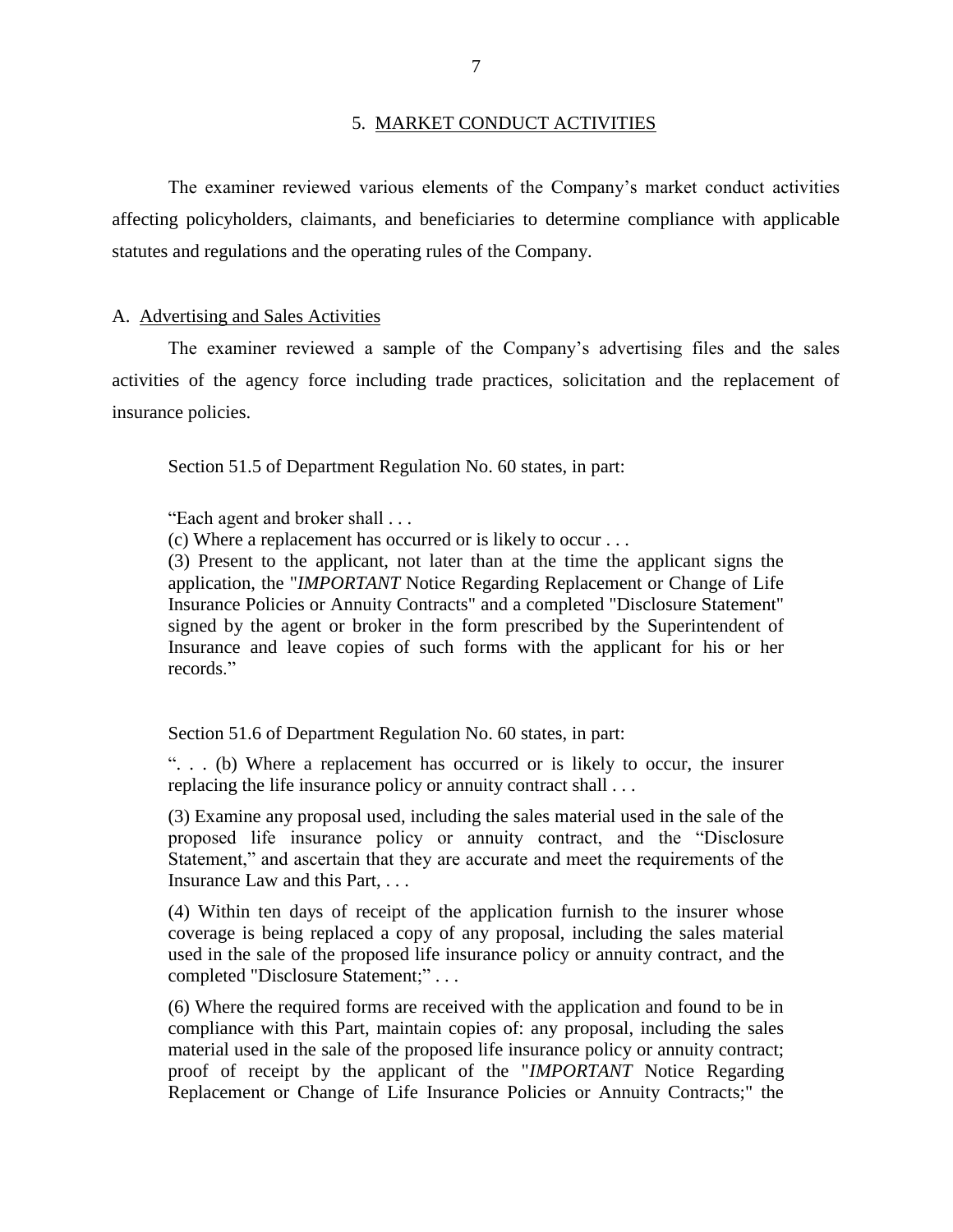<span id="page-9-0"></span> affecting policyholders, claimants, and beneficiaries to determine compliance with applicable The examiner reviewed various elements of the Company's market conduct activities statutes and regulations and the operating rules of the Company.

#### A. Advertising and Sales Activities

 The examiner reviewed a sample of the Company's advertising files and the sales activities of the agency force including trade practices, solicitation and the replacement of insurance policies.

Section 51.5 of Department Regulation No. 60 states, in part:

"Each agent and broker shall . . .

(c) Where a replacement has occurred or is likely to occur . . .

 application, the "*IMPORTANT* Notice Regarding Replacement or Change of Life Insurance Policies or Annuity Contracts" and a completed "Disclosure Statement" signed by the agent or broker in the form prescribed by the Superintendent of Insurance and leave copies of such forms with the applicant for his or her (3) Present to the applicant, not later than at the time the applicant signs the records<sup>"</sup>

Section 51.6 of Department Regulation No. 60 states, in part:

 ". . . (b) Where a replacement has occurred or is likely to occur, the insurer replacing the life insurance policy or annuity contract shall . . .

 (3) Examine any proposal used, including the sales material used in the sale of the proposed life insurance policy or annuity contract, and the "Disclosure Statement," and ascertain that they are accurate and meet the requirements of the Insurance Law and this Part, . . .

 (4) Within ten days of receipt of the application furnish to the insurer whose coverage is being replaced a copy of any proposal, including the sales material used in the sale of the proposed life insurance policy or annuity contract, and the completed "Disclosure Statement;" . . .

 (6) Where the required forms are received with the application and found to be in compliance with this Part, maintain copies of: any proposal, including the sales material used in the sale of the proposed life insurance policy or annuity contract; proof of receipt by the applicant of the "*IMPORTANT* Notice Regarding Replacement or Change of Life Insurance Policies or Annuity Contracts;" the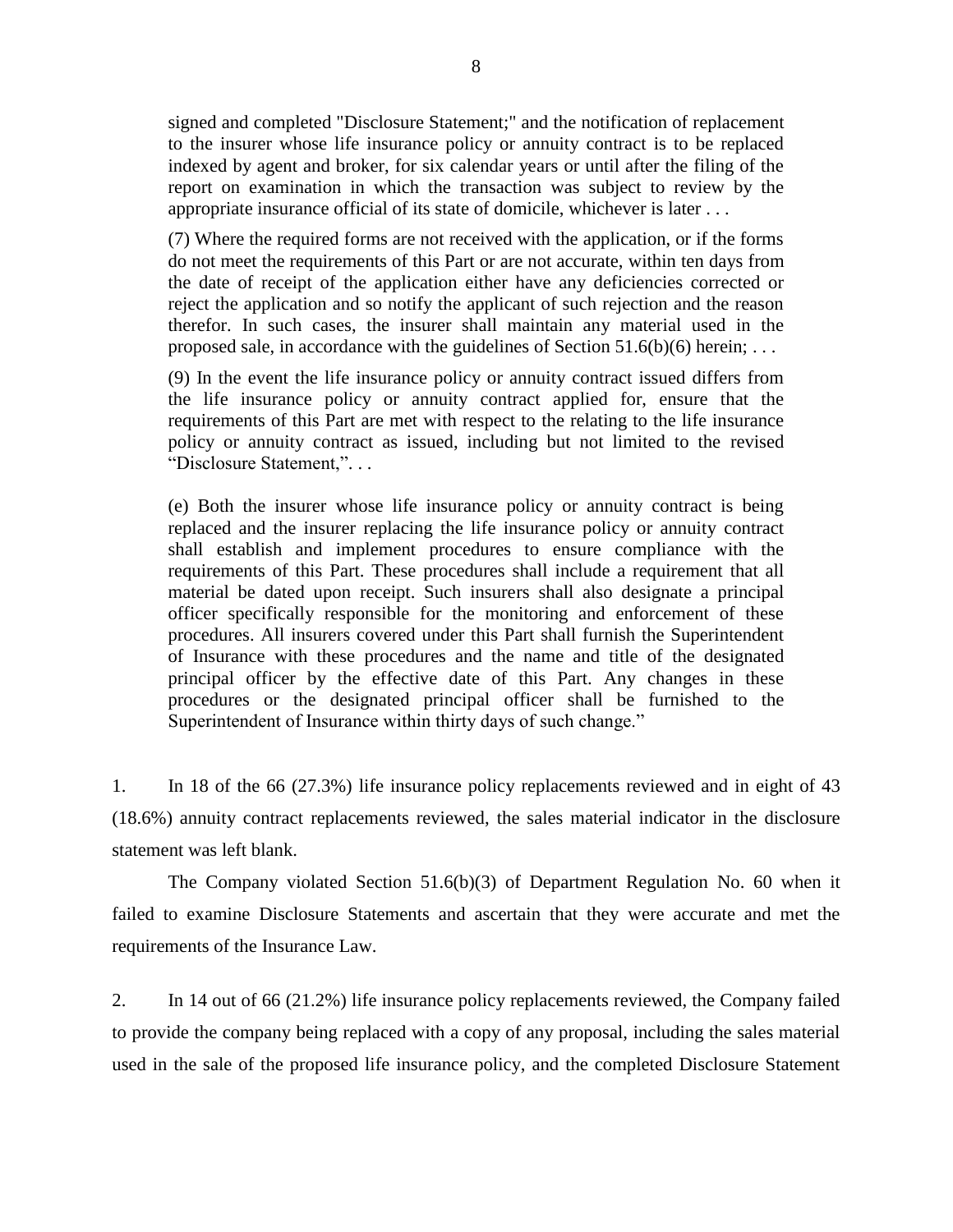signed and completed "Disclosure Statement;" and the notification of replacement to the insurer whose life insurance policy or annuity contract is to be replaced indexed by agent and broker, for six calendar years or until after the filing of the report on examination in which the transaction was subject to review by the appropriate insurance official of its state of domicile, whichever is later . . .

 (7) Where the required forms are not received with the application, or if the forms do not meet the requirements of this Part or are not accurate, within ten days from the date of receipt of the application either have any deficiencies corrected or reject the application and so notify the applicant of such rejection and the reason therefor. In such cases, the insurer shall maintain any material used in the proposed sale, in accordance with the guidelines of Section 51.6(b)(6) herein; . . .

 (9) In the event the life insurance policy or annuity contract issued differs from the life insurance policy or annuity contract applied for, ensure that the requirements of this Part are met with respect to the relating to the life insurance policy or annuity contract as issued, including but not limited to the revised "Disclosure Statement,". . .

 (e) Both the insurer whose life insurance policy or annuity contract is being replaced and the insurer replacing the life insurance policy or annuity contract shall establish and implement procedures to ensure compliance with the requirements of this Part. These procedures shall include a requirement that all material be dated upon receipt. Such insurers shall also designate a principal officer specifically responsible for the monitoring and enforcement of these procedures. All insurers covered under this Part shall furnish the Superintendent of Insurance with these procedures and the name and title of the designated principal officer by the effective date of this Part. Any changes in these procedures or the designated principal officer shall be furnished to the Superintendent of Insurance within thirty days of such change."

 1. In 18 of the 66 (27.3%) life insurance policy replacements reviewed and in eight of 43 (18.6%) annuity contract replacements reviewed, the sales material indicator in the disclosure statement was left blank.

 failed to examine Disclosure Statements and ascertain that they were accurate and met the requirements of the Insurance Law. The Company violated Section  $51.6(b)(3)$  of Department Regulation No. 60 when it

2. to provide the company being replaced with a copy of any proposal, including the sales material used in the sale of the proposed life insurance policy, and the completed Disclosure Statement In 14 out of 66 (21.2%) life insurance policy replacements reviewed, the Company failed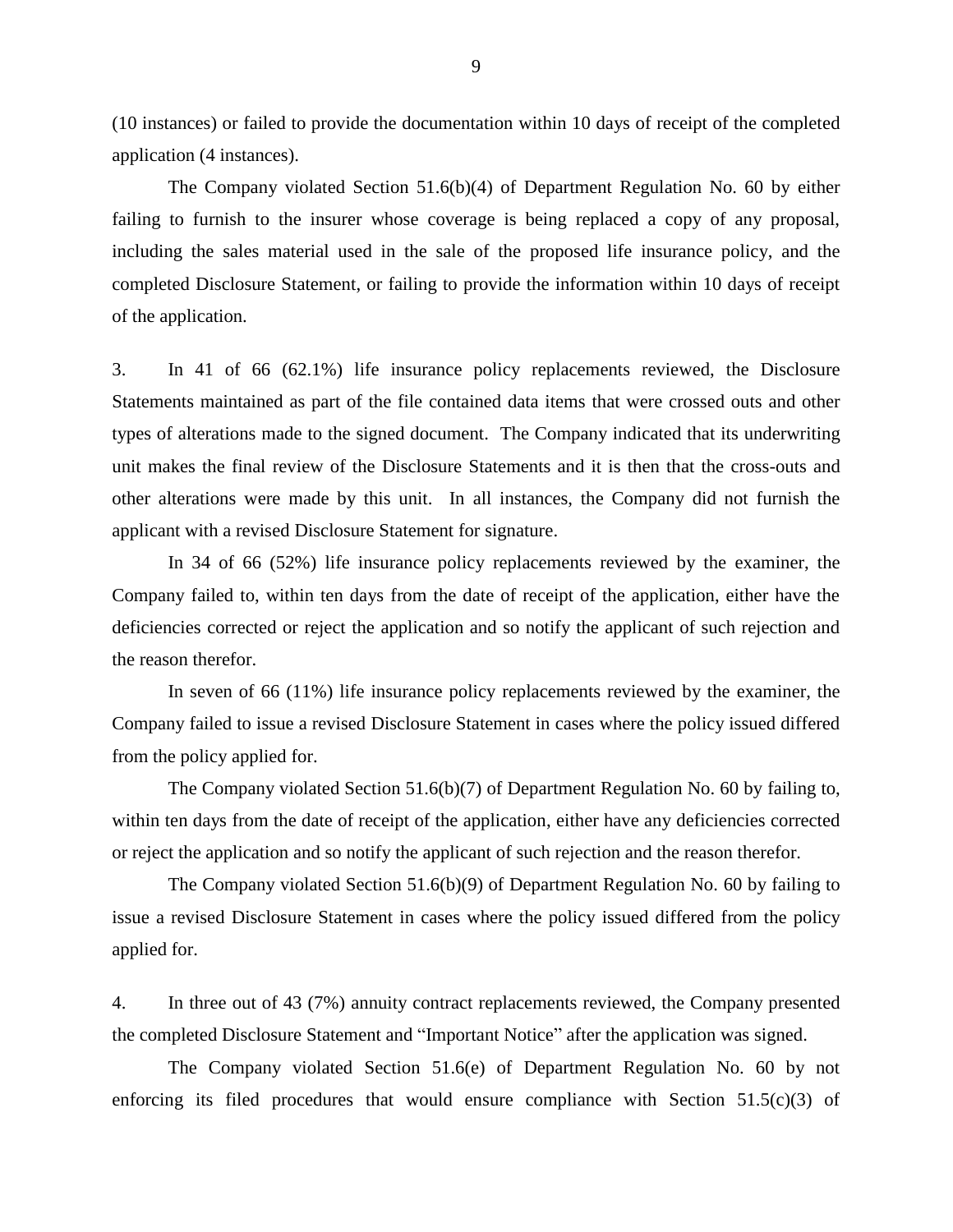(10 instances) or failed to provide the documentation within 10 days of receipt of the completed application (4 instances).

 The Company violated Section 51.6(b)(4) of Department Regulation No. 60 by either failing to furnish to the insurer whose coverage is being replaced a copy of any proposal, including the sales material used in the sale of the proposed life insurance policy, and the completed Disclosure Statement, or failing to provide the information within 10 days of receipt of the application.

 $3.$  types of alterations made to the signed document. The Company indicated that its underwriting unit makes the final review of the Disclosure Statements and it is then that the cross-outs and other alterations were made by this unit. In all instances, the Company did not furnish the applicant with a revised Disclosure Statement for signature. In 41 of 66 (62.1%) life insurance policy replacements reviewed, the Disclosure Statements maintained as part of the file contained data items that were crossed outs and other

 In 34 of 66 (52%) life insurance policy replacements reviewed by the examiner, the Company failed to, within ten days from the date of receipt of the application, either have the deficiencies corrected or reject the application and so notify the applicant of such rejection and the reason therefor.

 In seven of 66 (11%) life insurance policy replacements reviewed by the examiner, the Company failed to issue a revised Disclosure Statement in cases where the policy issued differed from the policy applied for.

 The Company violated Section 51.6(b)(7) of Department Regulation No. 60 by failing to, within ten days from the date of receipt of the application, either have any deficiencies corrected or reject the application and so notify the applicant of such rejection and the reason therefor.

 The Company violated Section 51.6(b)(9) of Department Regulation No. 60 by failing to issue a revised Disclosure Statement in cases where the policy issued differed from the policy applied for.

 4. In three out of 43 (7%) annuity contract replacements reviewed, the Company presented the completed Disclosure Statement and "Important Notice" after the application was signed.

 The Company violated Section 51.6(e) of Department Regulation No. 60 by not enforcing its filed procedures that would ensure compliance with Section 51.5(c)(3) of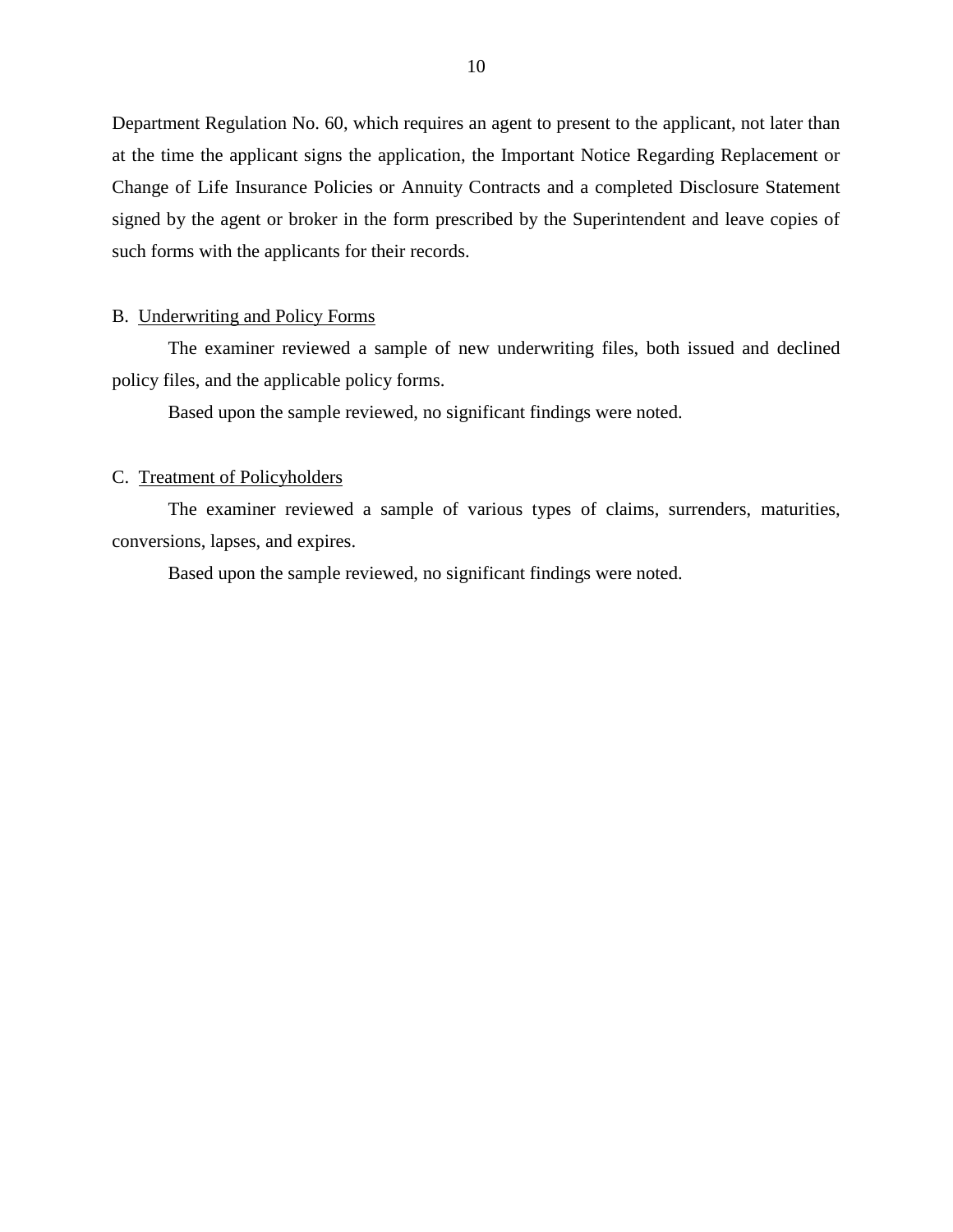<span id="page-12-0"></span> at the time the applicant signs the application, the Important Notice Regarding Replacement or Change of Life Insurance Policies or Annuity Contracts and a completed Disclosure Statement signed by the agent or broker in the form prescribed by the Superintendent and leave copies of such forms with the applicants for their records. Department Regulation No. 60, which requires an agent to present to the applicant, not later than

#### B. Underwriting and Policy Forms

The examiner reviewed a sample of new underwriting files, both issued and declined policy files, and the applicable policy forms.

Based upon the sample reviewed, no significant findings were noted.

#### C. Treatment of Policyholders

The examiner reviewed a sample of various types of claims, surrenders, maturities, conversions, lapses, and expires.

Based upon the sample reviewed, no significant findings were noted.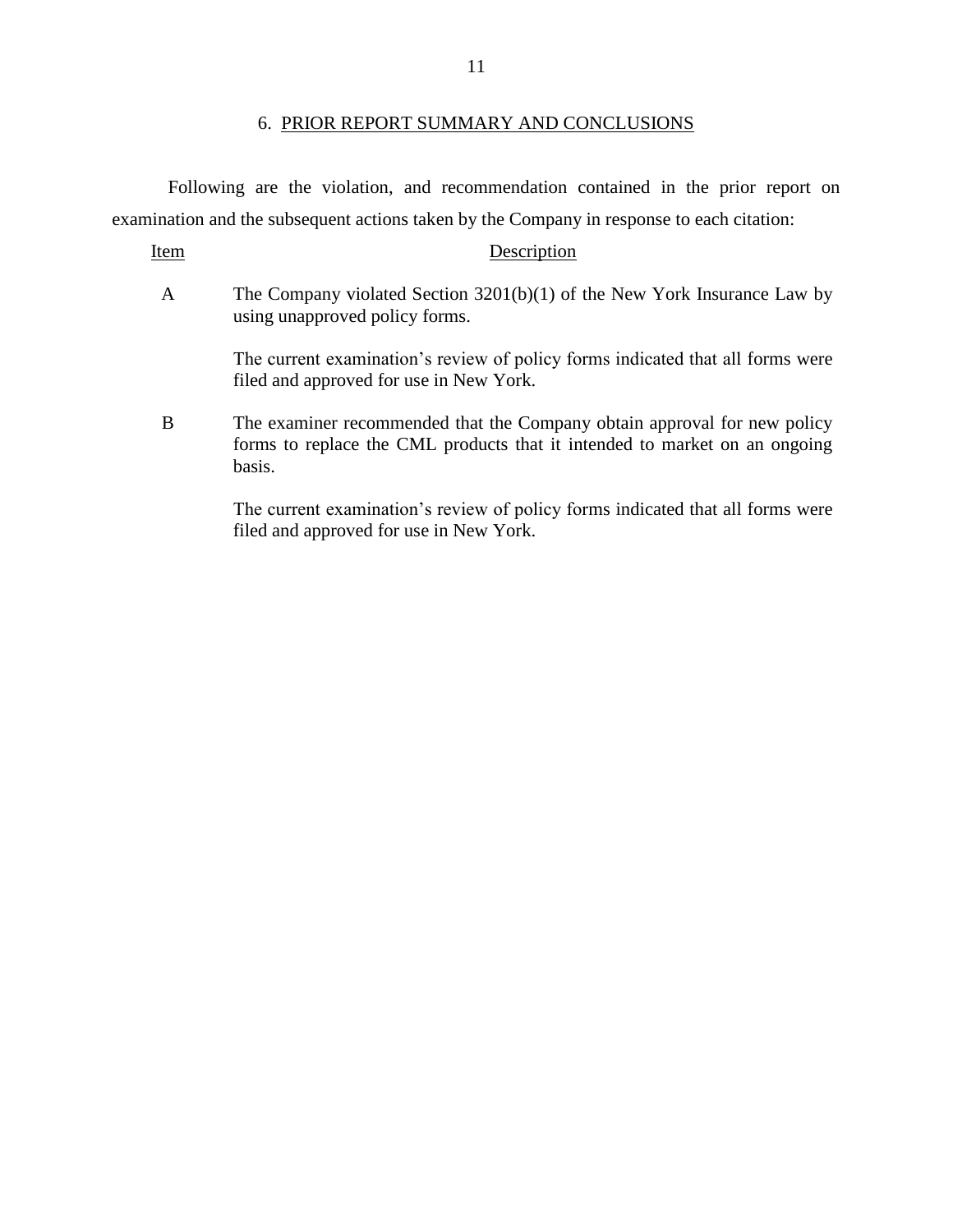#### 6. PRIOR REPORT SUMMARY AND CONCLUSIONS

<span id="page-13-0"></span> Following are the violation, and recommendation contained in the prior report on examination and the subsequent actions taken by the Company in response to each citation:

#### Item Description

 A The Company violated Section 3201(b)(1) of the New York Insurance Law by using unapproved policy forms.

> The current examination's review of policy forms indicated that all forms were filed and approved for use in New York.

 B The examiner recommended that the Company obtain approval for new policy forms to replace the CML products that it intended to market on an ongoing basis.

> The current examination's review of policy forms indicated that all forms were filed and approved for use in New York.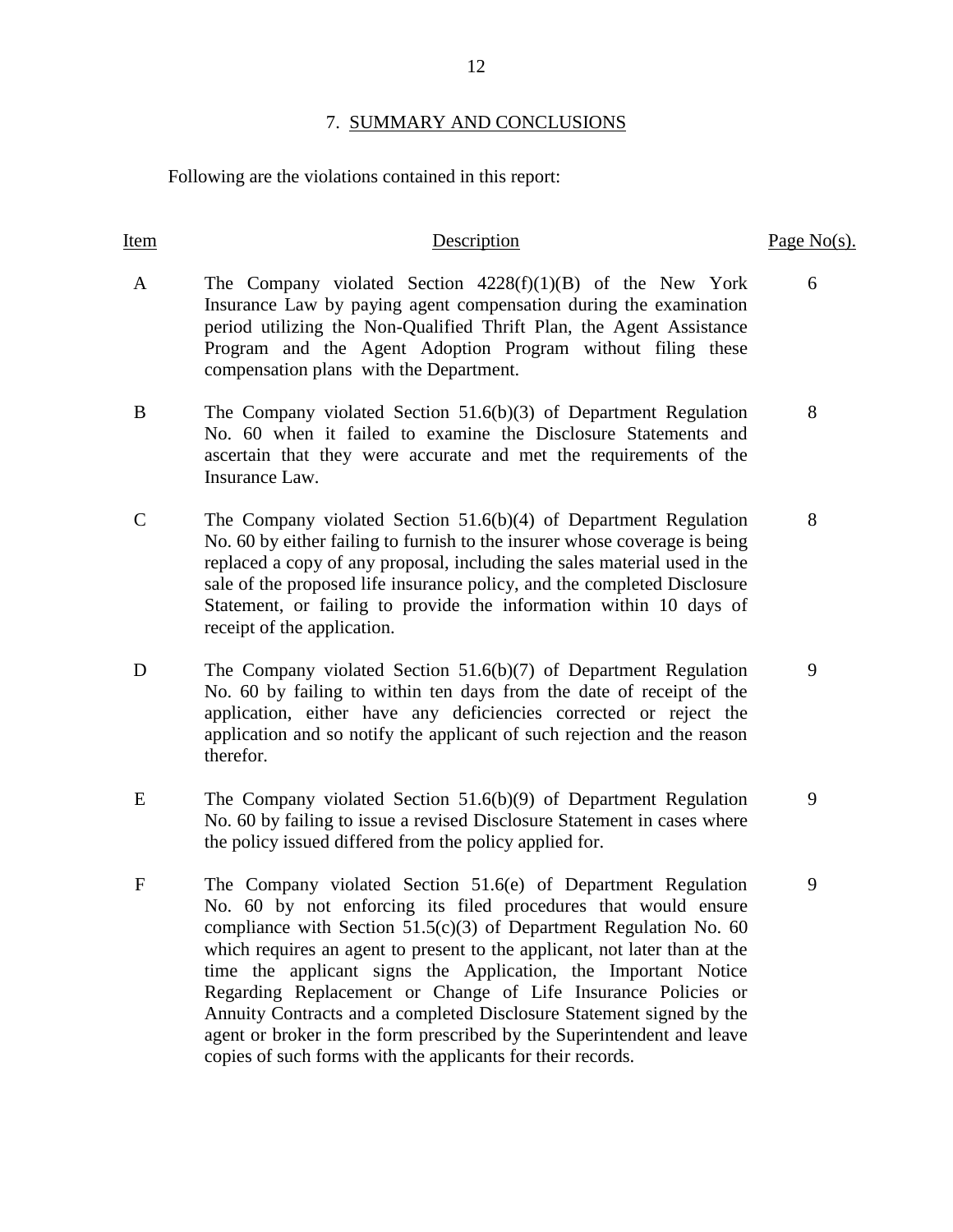#### 7. SUMMARY AND CONCLUSIONS

Following are the violations contained in this report:

Item Description Description Page No(s).

- A The Company violated Section 4228(f)(1)(B) of the New York Insurance Law by paying agent compensation during the examination Program and the Agent Adoption Program without filing these period utilizing the Non-Qualified Thrift Plan, the Agent Assistance compensation plans with the Department.
- B The Company violated Section 51.6(b)(3) of Department Regulation No. 60 when it failed to examine the Disclosure Statements and ascertain that they were accurate and met the requirements of the Insurance Law.
- C The Company violated Section 51.6(b)(4) of Department Regulation replaced a copy of any proposal, including the sales material used in the sale of the proposed life insurance policy, and the completed Disclosure No. 60 by either failing to furnish to the insurer whose coverage is being Statement, or failing to provide the information within 10 days of receipt of the application.
- D The Company violated Section 51.6(b)(7) of Department Regulation No. 60 by failing to within ten days from the date of receipt of the application, either have any deficiencies corrected or reject the application and so notify the applicant of such rejection and the reason therefor.
- E The Company violated Section 51.6(b)(9) of Department Regulation No. 60 by failing to issue a revised Disclosure Statement in cases where the policy issued differed from the policy applied for.
- F The Company violated Section 51.6(e) of Department Regulation time the applicant signs the Application, the Important Notice Regarding Replacement or Change of Life Insurance Policies or Annuity Contracts and a completed Disclosure Statement signed by the agent or broker in the form prescribed by the Superintendent and leave No. 60 by not enforcing its filed procedures that would ensure compliance with Section 51.5(c)(3) of Department Regulation No. 60 which requires an agent to present to the applicant, not later than at the copies of such forms with the applicants for their records.

12

6

8

9

9

9

8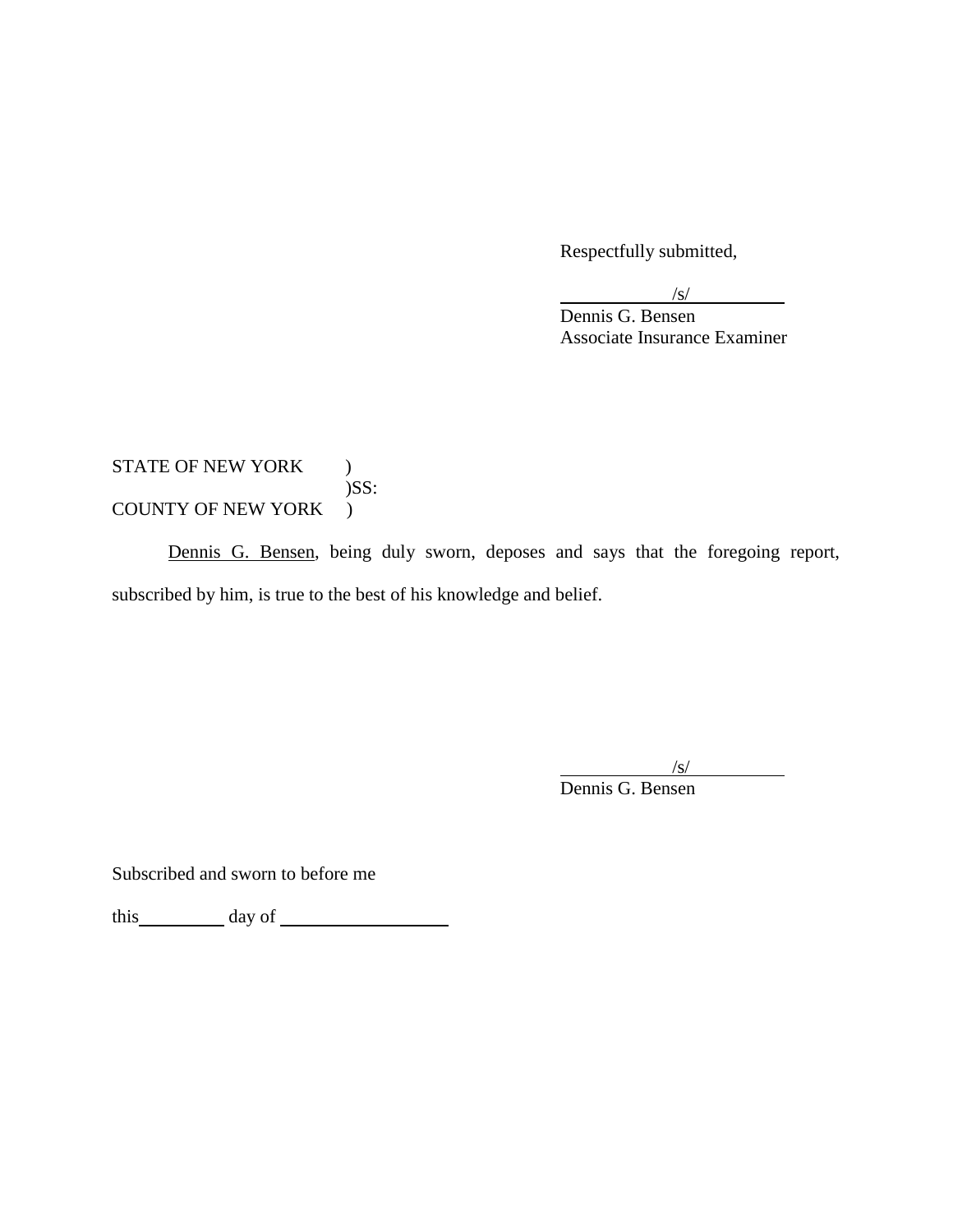Respectfully submitted,

/s/ Dennis G. Bensen Associate Insurance Examiner

#### $\rightarrow$ STATE OF NEW YORK ) )SS: COUNTY OF NEW YORK )

Dennis G. Bensen, being duly sworn, deposes and says that the foregoing report, subscribed by him, is true to the best of his knowledge and belief.

/s/

Dennis G. Bensen

Subscribed and sworn to before me

this day of